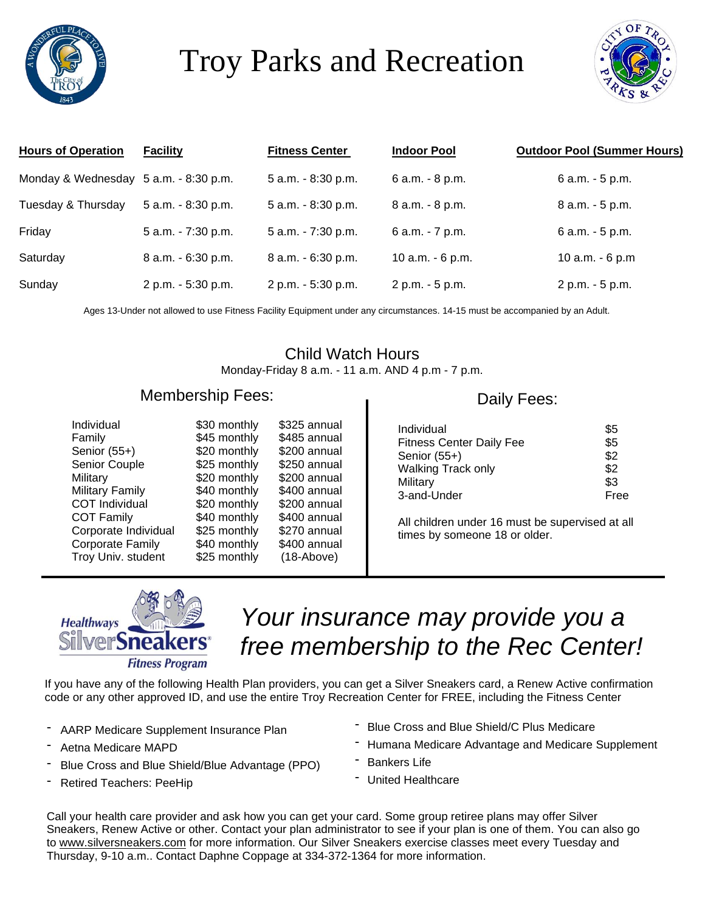

# Troy Parks and Recreation



| <b>Hours of Operation</b>             | <b>Facility</b>    | <b>Fitness Center</b> | <b>Indoor Pool</b> | <b>Outdoor Pool (Summer Hours)</b> |
|---------------------------------------|--------------------|-----------------------|--------------------|------------------------------------|
| Monday & Wednesday 5 a.m. - 8:30 p.m. |                    | 5 a.m. - 8:30 p.m.    | 6 a.m. - 8 p.m.    | 6 a.m. - 5 p.m.                    |
| Tuesday & Thursday                    | 5 a.m. - 8:30 p.m. | 5 a.m. - 8:30 p.m.    | 8 a.m. - 8 p.m.    | 8 a.m. - 5 p.m.                    |
| Friday                                | 5 a.m. - 7:30 p.m. | 5 a.m. - 7:30 p.m.    | 6 a.m. - 7 p.m.    | 6 a.m. - 5 p.m.                    |
| Saturday                              | 8 a.m. - 6:30 p.m. | 8 a.m. - 6:30 p.m.    | 10 a.m. - 6 p.m.   | 10 a.m. - 6 p.m                    |
| Sunday                                | 2 p.m. - 5:30 p.m. | 2 p.m. - 5:30 p.m.    | 2 p.m. - 5 p.m.    | 2 p.m. - 5 p.m.                    |

Ages 13-Under not allowed to use Fitness Facility Equipment under any circumstances. 14-15 must be accompanied by an Adult.

### Child Watch Hours

Monday-Friday 8 a.m. - 11 a.m. AND 4 p.m - 7 p.m.

#### Membership Fees:

| Individual             | \$30 monthly | \$325 annual |
|------------------------|--------------|--------------|
| Family                 | \$45 monthly | \$485 annual |
| Senior (55+)           | \$20 monthly | \$200 annual |
| Senior Couple          | \$25 monthly | \$250 annual |
| Military               | \$20 monthly | \$200 annual |
| <b>Military Family</b> | \$40 monthly | \$400 annual |
| <b>COT Individual</b>  | \$20 monthly | \$200 annual |
| <b>COT Family</b>      | \$40 monthly | \$400 annual |
| Corporate Individual   | \$25 monthly | \$270 annual |
| Corporate Family       | \$40 monthly | \$400 annual |
| Troy Univ. student     | \$25 monthly | $(18-Above)$ |

#### Daily Fees:

| \$5  |
|------|
| \$5  |
| \$2  |
| \$2  |
| \$3  |
| Free |
|      |

All children under 16 must be supervised at all times by someone 18 or older.



## *Your insurance may provide you a free membership to the Rec Center!*

If you have any of the following Health Plan providers, you can get a Silver Sneakers card, a Renew Active confirmation code or any other approved ID, and use the entire Troy Recreation Center for FREE, including the Fitness Center

- AARP Medicare Supplement Insurance Plan
- Aetna Medicare MAPD
- Blue Cross and Blue Shield/Blue Advantage (PPO)
- Retired Teachers: PeeHip
- Blue Cross and Blue Shield/C Plus Medicare
- Humana Medicare Advantage and Medicare Supplement
- Bankers Life
- United Healthcare

Call your health care provider and ask how you can get your card. Some group retiree plans may offer Silver Sneakers, Renew Active or other. Contact your plan administrator to see if your plan is one of them. You can also go to [www.silversneakers.com](http://www.silversneakers.com/) for more information. Our Silver Sneakers exercise classes meet every Tuesday and Thursday, 9-10 a.m.. Contact Daphne Coppage at 334-372-1364 for more information.